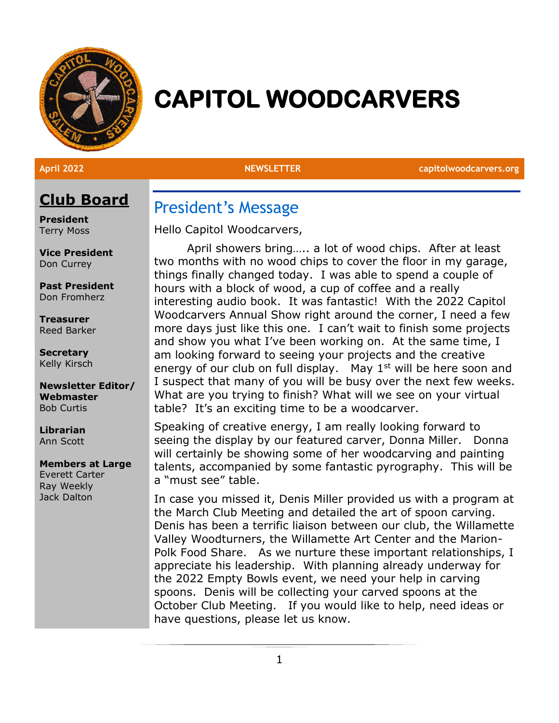

# **CAPITOL WOODCARVERS**

**April 2022 NEWSLETTER capitolwoodcarvers.org**

## **Club Board**

**President** Terry Moss

**Vice President** Don Currey

**Past President** Don Fromherz

**Treasurer** Reed Barker

**Secretary** Kelly Kirsch

**Newsletter Editor/ Webmaster** Bob Curtis

**Librarian** Ann Scott

#### **Members at Large**

Everett Carter Ray Weekly Jack Dalton

President's Message

Hello Capitol Woodcarvers,

April showers bring….. a lot of wood chips. After at least two months with no wood chips to cover the floor in my garage, things finally changed today. I was able to spend a couple of hours with a block of wood, a cup of coffee and a really interesting audio book. It was fantastic! With the 2022 Capitol Woodcarvers Annual Show right around the corner, I need a few more days just like this one. I can't wait to finish some projects and show you what I've been working on. At the same time, I am looking forward to seeing your projects and the creative energy of our club on full display. May  $1<sup>st</sup>$  will be here soon and I suspect that many of you will be busy over the next few weeks. What are you trying to finish? What will we see on your virtual table? It's an exciting time to be a woodcarver.

Speaking of creative energy, I am really looking forward to seeing the display by our featured carver, Donna Miller. Donna will certainly be showing some of her woodcarving and painting talents, accompanied by some fantastic pyrography. This will be a "must see" table.

In case you missed it, Denis Miller provided us with a program at the March Club Meeting and detailed the art of spoon carving. Denis has been a terrific liaison between our club, the Willamette Valley Woodturners, the Willamette Art Center and the Marion-Polk Food Share. As we nurture these important relationships, I appreciate his leadership. With planning already underway for the 2022 Empty Bowls event, we need your help in carving spoons. Denis will be collecting your carved spoons at the October Club Meeting. If you would like to help, need ideas or have questions, please let us know.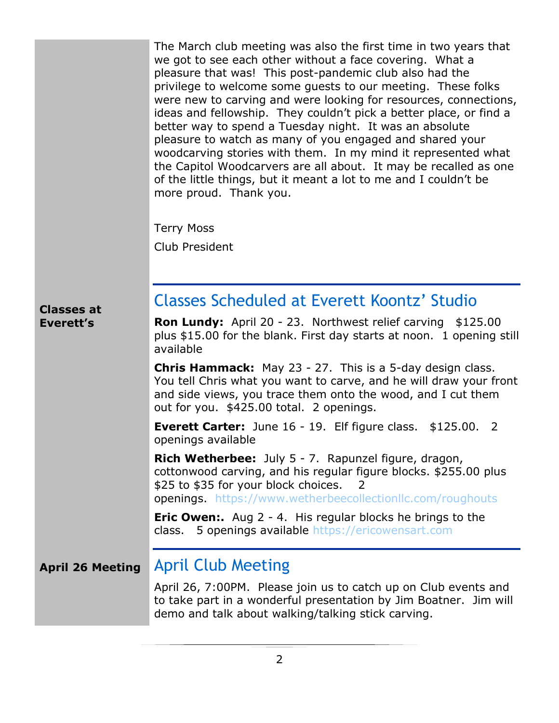The March club meeting was also the first time in two years that we got to see each other without a face covering. What a pleasure that was! This post-pandemic club also had the privilege to welcome some guests to our meeting. These folks were new to carving and were looking for resources, connections, ideas and fellowship. They couldn't pick a better place, or find a better way to spend a Tuesday night. It was an absolute pleasure to watch as many of you engaged and shared your woodcarving stories with them. In my mind it represented what the Capitol Woodcarvers are all about. It may be recalled as one of the little things, but it meant a lot to me and I couldn't be more proud. Thank you.

Terry Moss

Club President

#### **Classes at Everett's**

## Classes Scheduled at Everett Koontz' Studio

**Ron Lundy:** April 20 - 23. Northwest relief carving \$125.00 plus \$15.00 for the blank. First day starts at noon. 1 opening still available

**Chris Hammack:** May 23 - 27. This is a 5-day design class. You tell Chris what you want to carve, and he will draw your front and side views, you trace them onto the wood, and I cut them out for you. \$425.00 total. 2 openings.

**Everett Carter:** June 16 - 19. Elf figure class. \$125.00. 2 openings available

**Rich Wetherbee:** July 5 - 7. Rapunzel figure, dragon, cottonwood carving, and his regular figure blocks. \$255.00 plus \$25 to \$35 for your block choices. 2 openings. <https://www.wetherbeecollectionllc.com/roughouts>

**Eric Owen:.** Aug 2 - 4. His regular blocks he brings to the class. 5 openings available [https://ericowensart.com](https://ericowensart.com/)

#### **April 26 Meeting** April Club Meeting

April 26, 7:00PM. Please join us to catch up on Club events and to take part in a wonderful presentation by Jim Boatner. Jim will demo and talk about walking/talking stick carving.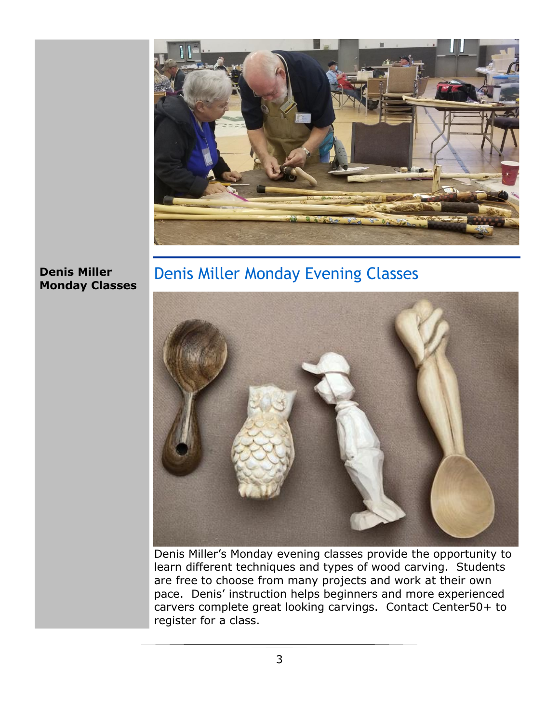

#### **Denis Miller Monday Classes**

## Denis Miller Monday Evening Classes



Denis Miller's Monday evening classes provide the opportunity to learn different techniques and types of wood carving. Students are free to choose from many projects and work at their own pace. Denis' instruction helps beginners and more experienced carvers complete great looking carvings. Contact Center50+ to register for a class.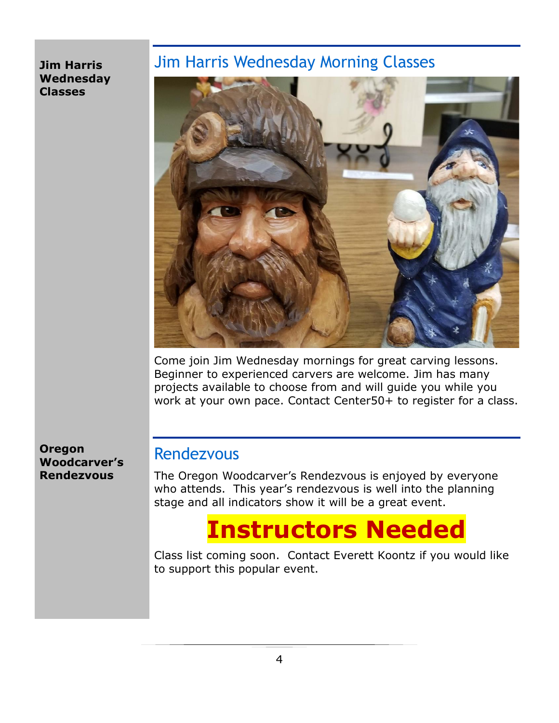#### **Jim Harris Wednesday Classes**

## Jim Harris Wednesday Morning Classes



Come join Jim Wednesday mornings for great carving lessons. Beginner to experienced carvers are welcome. Jim has many projects available to choose from and will guide you while you work at your own pace. Contact Center50+ to register for a class.

**Oregon Woodcarver's Rendezvous**

## Rendezvous

The Oregon Woodcarver's Rendezvous is enjoyed by everyone who attends. This year's rendezvous is well into the planning stage and all indicators show it will be a great event.

## **Instructors Needed**

Class list coming soon. Contact Everett Koontz if you would like to support this popular event.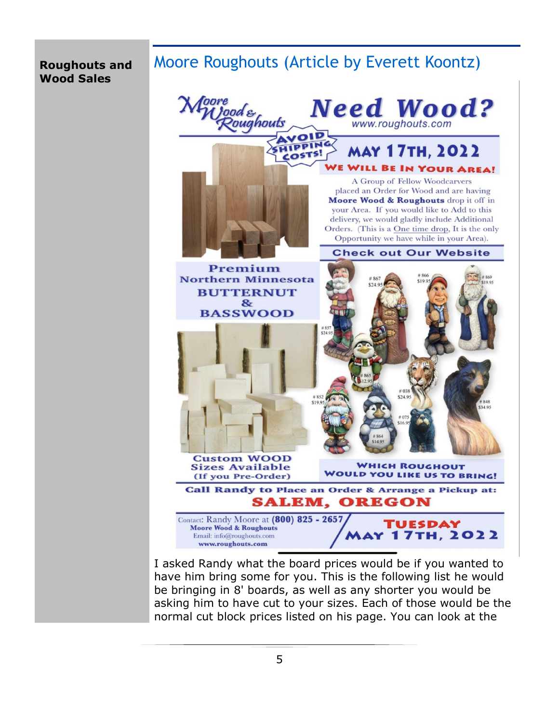#### **Roughouts and Wood Sales**

## Moore Roughouts (Article by Everett Koontz)



I asked Randy what the board prices would be if you wanted to have him bring some for you. This is the following list he would be bringing in 8' boards, as well as any shorter you would be asking him to have cut to your sizes. Each of those would be the normal cut block prices listed on his page. You can look at the

5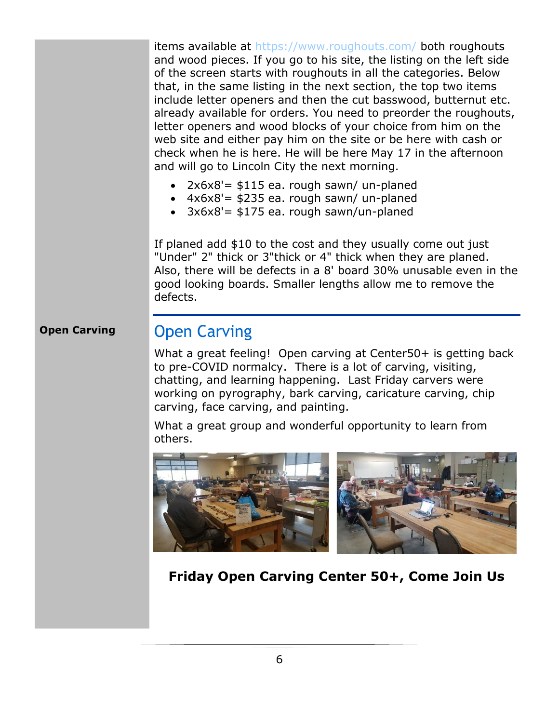items available at<https://www.roughouts.com/> both roughouts and wood pieces. If you go to his site, the listing on the left side of the screen starts with roughouts in all the categories. Below that, in the same listing in the next section, the top two items include letter openers and then the cut basswood, butternut etc. already available for orders. You need to preorder the roughouts, letter openers and wood blocks of your choice from him on the web site and either pay him on the site or be here with cash or check when he is here. He will be here May 17 in the afternoon and will go to Lincoln City the next morning.

- $2x6x8'$  = \$115 ea. rough sawn/ un-planed
- $4x6x8'$  = \$235 ea. rough sawn/ un-planed
- $3x6x8'$  = \$175 ea. rough sawn/un-planed

If planed add \$10 to the cost and they usually come out just "Under" 2" thick or 3"thick or 4" thick when they are planed. Also, there will be defects in a 8' board 30% unusable even in the good looking boards. Smaller lengths allow me to remove the defects.

### **Open Carving**

## Open Carving

What a great feeling! Open carving at Center50+ is getting back to pre-COVID normalcy. There is a lot of carving, visiting, chatting, and learning happening. Last Friday carvers were working on pyrography, bark carving, caricature carving, chip carving, face carving, and painting.

What a great group and wonderful opportunity to learn from others.



**Friday Open Carving Center 50+, Come Join Us**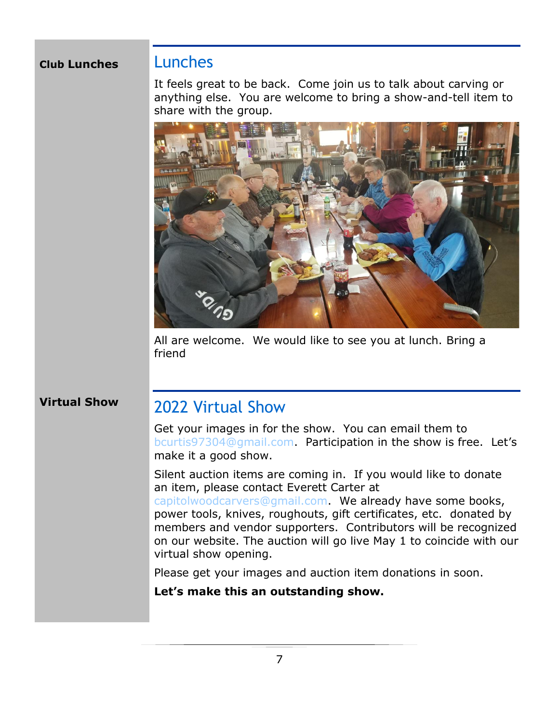#### **Club Lunches**

### Lunches

It feels great to be back. Come join us to talk about carving or anything else. You are welcome to bring a show-and-tell item to share with the group.



All are welcome. We would like to see you at lunch. Bring a friend

#### **Virtual Show**

## 2022 Virtual Show

Get your images in for the show. You can email them to [bcurtis97304@gmail.com.](mailto:bcurtis97304@gmail.com) Participation in the show is free. Let's make it a good show.

Silent auction items are coming in. If you would like to donate an item, please contact Everett Carter at

[capitolwoodcarvers@gmail.com.](mailto:capitolwoodcarvers@gmail.com) We already have some books, power tools, knives, roughouts, gift certificates, etc. donated by members and vendor supporters. Contributors will be recognized on our website. The auction will go live May 1 to coincide with our virtual show opening.

Please get your images and auction item donations in soon.

#### **Let's make this an outstanding show.**